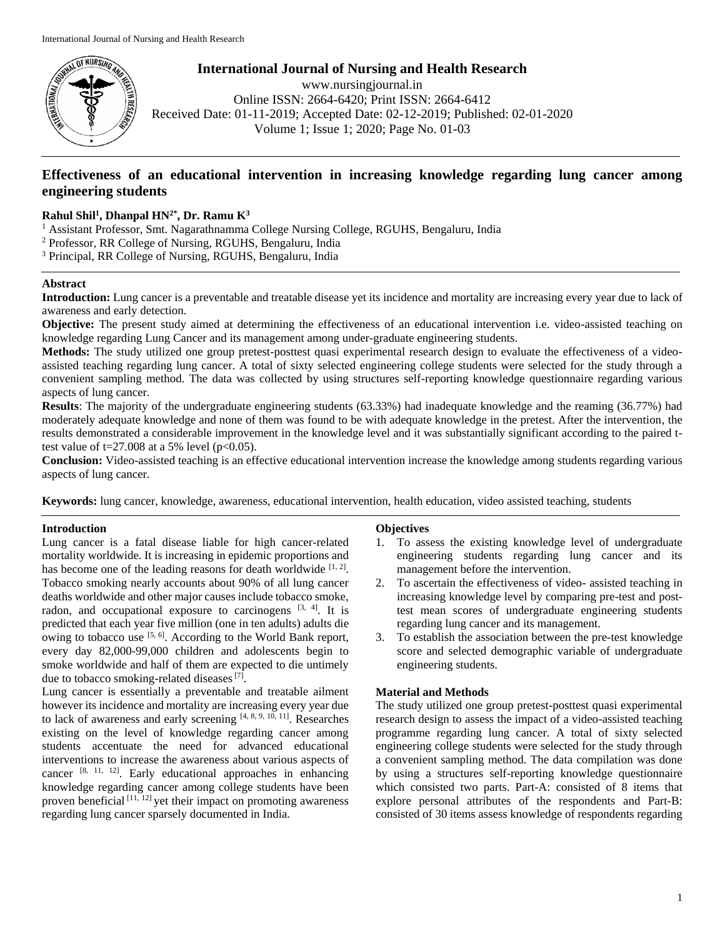

**International Journal of Nursing and Health Research** www.nursingjournal.in

Online ISSN: 2664-6420; Print ISSN: 2664-6412 Received Date: 01-11-2019; Accepted Date: 02-12-2019; Published: 02-01-2020 Volume 1; Issue 1; 2020; Page No. 01-03

# **Effectiveness of an educational intervention in increasing knowledge regarding lung cancer among engineering students**

### **Rahul Shil<sup>1</sup> , Dhanpal HN2\* , Dr. Ramu K<sup>3</sup>**

<sup>1</sup> Assistant Professor, Smt. Nagarathnamma College Nursing College, RGUHS, Bengaluru, India

- <sup>2</sup> Professor, RR College of Nursing, RGUHS, Bengaluru, India
- <sup>3</sup> Principal, RR College of Nursing, RGUHS, Bengaluru, India

### **Abstract**

**Introduction:** Lung cancer is a preventable and treatable disease yet its incidence and mortality are increasing every year due to lack of awareness and early detection.

**Objective:** The present study aimed at determining the effectiveness of an educational intervention i.e. video-assisted teaching on knowledge regarding Lung Cancer and its management among under-graduate engineering students.

**Methods:** The study utilized one group pretest-posttest quasi experimental research design to evaluate the effectiveness of a videoassisted teaching regarding lung cancer. A total of sixty selected engineering college students were selected for the study through a convenient sampling method. The data was collected by using structures self-reporting knowledge questionnaire regarding various aspects of lung cancer.

**Results**: The majority of the undergraduate engineering students (63.33%) had inadequate knowledge and the reaming (36.77%) had moderately adequate knowledge and none of them was found to be with adequate knowledge in the pretest. After the intervention, the results demonstrated a considerable improvement in the knowledge level and it was substantially significant according to the paired ttest value of  $t=27.008$  at a 5% level ( $p<0.05$ ).

**Conclusion:** Video-assisted teaching is an effective educational intervention increase the knowledge among students regarding various aspects of lung cancer.

**Keywords:** lung cancer, knowledge, awareness, educational intervention, health education, video assisted teaching, students

### **Introduction**

Lung cancer is a fatal disease liable for high cancer-related mortality worldwide. It is increasing in epidemic proportions and has become one of the leading reasons for death worldwide  $[1, 2]$ . Tobacco smoking nearly accounts about 90% of all lung cancer deaths worldwide and other major causes include tobacco smoke, radon, and occupational exposure to carcinogens  $[3, 4]$ . It is predicted that each year five million (one in ten adults) adults die owing to tobacco use <sup>[5, 6]</sup>. According to the World Bank report, every day 82,000-99,000 children and adolescents begin to smoke worldwide and half of them are expected to die untimely due to tobacco smoking-related diseases<sup>[7]</sup>.

Lung cancer is essentially a preventable and treatable ailment however its incidence and mortality are increasing every year due to lack of awareness and early screening  $[4, 8, 9, 10, 11]$ . Researches existing on the level of knowledge regarding cancer among students accentuate the need for advanced educational interventions to increase the awareness about various aspects of cancer [8, 11, 12]. Early educational approaches in enhancing knowledge regarding cancer among college students have been proven beneficial  $[11, 12]$  yet their impact on promoting awareness regarding lung cancer sparsely documented in India.

#### **Objectives**

- 1. To assess the existing knowledge level of undergraduate engineering students regarding lung cancer and its management before the intervention.
- 2. To ascertain the effectiveness of video- assisted teaching in increasing knowledge level by comparing pre-test and posttest mean scores of undergraduate engineering students regarding lung cancer and its management.
- 3. To establish the association between the pre-test knowledge score and selected demographic variable of undergraduate engineering students.

## **Material and Methods**

The study utilized one group pretest-posttest quasi experimental research design to assess the impact of a video-assisted teaching programme regarding lung cancer. A total of sixty selected engineering college students were selected for the study through a convenient sampling method. The data compilation was done by using a structures self-reporting knowledge questionnaire which consisted two parts. Part-A: consisted of 8 items that explore personal attributes of the respondents and Part-B: consisted of 30 items assess knowledge of respondents regarding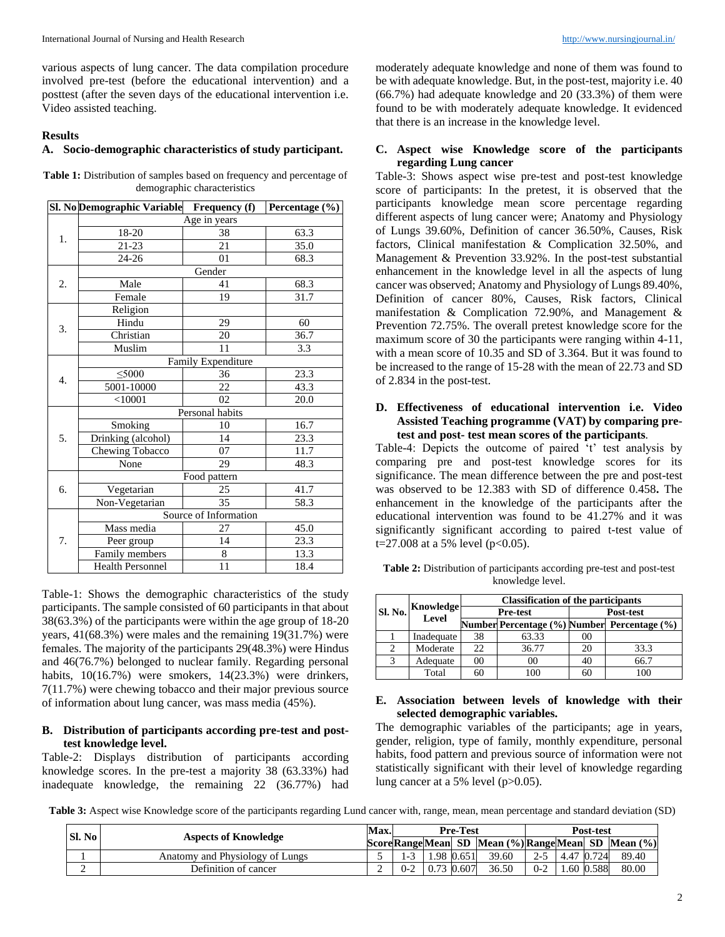various aspects of lung cancer. The data compilation procedure involved pre-test (before the educational intervention) and a posttest (after the seven days of the educational intervention i.e. Video assisted teaching.

#### **Results**

#### **A. Socio-demographic characteristics of study participant.**

| <b>Table 1:</b> Distribution of samples based on frequency and percentage of |  |
|------------------------------------------------------------------------------|--|
| demographic characteristics                                                  |  |

|    | Sl. No Demographic Variable | <b>Frequency</b> (f)  | Percentage (%) |  |  |  |  |  |
|----|-----------------------------|-----------------------|----------------|--|--|--|--|--|
|    |                             | Age in years          |                |  |  |  |  |  |
| 1. | 18-20                       | 38                    | 63.3           |  |  |  |  |  |
|    | 21-23                       | 21                    | 35.0           |  |  |  |  |  |
|    | $24 - 26$                   | 01                    | 68.3           |  |  |  |  |  |
|    |                             | Gender                |                |  |  |  |  |  |
| 2. | Male                        | 41                    | 68.3           |  |  |  |  |  |
|    | Female                      | 19                    | 31.7           |  |  |  |  |  |
|    | Religion                    |                       |                |  |  |  |  |  |
| 3. | Hindu                       | 29                    | 60             |  |  |  |  |  |
|    | Christian                   | 20                    | 36.7           |  |  |  |  |  |
|    | Muslim                      | 11                    | 3.3            |  |  |  |  |  |
|    |                             | Family Expenditure    |                |  |  |  |  |  |
|    | $<$ 5000                    | 36                    | 23.3           |  |  |  |  |  |
| 4. | 5001-10000                  | 22                    | 43.3           |  |  |  |  |  |
|    | $<$ 10001                   | 02                    | 20.0           |  |  |  |  |  |
|    | Personal habits             |                       |                |  |  |  |  |  |
|    | Smoking                     | 10                    | 16.7           |  |  |  |  |  |
| 5. | Drinking (alcohol)          | 14                    | 23.3           |  |  |  |  |  |
|    | Chewing Tobacco             | 07                    | 11.7           |  |  |  |  |  |
|    | None                        | 29                    | 48.3           |  |  |  |  |  |
|    |                             | Food pattern          |                |  |  |  |  |  |
| 6. | Vegetarian                  | 25                    | 41.7           |  |  |  |  |  |
|    | Non-Vegetarian              | 35                    | 58.3           |  |  |  |  |  |
|    |                             | Source of Information |                |  |  |  |  |  |
|    | Mass media                  | 27                    | 45.0           |  |  |  |  |  |
| 7. | Peer group                  | 14                    | 23.3           |  |  |  |  |  |
|    | Family members              | 8                     | 13.3           |  |  |  |  |  |
|    | Health Personnel            | 11                    | 18.4           |  |  |  |  |  |

Table-1: Shows the demographic characteristics of the study participants. The sample consisted of 60 participants in that about 38(63.3%) of the participants were within the age group of 18-20 years, 41(68.3%) were males and the remaining 19(31.7%) were females. The majority of the participants 29(48.3%) were Hindus and 46(76.7%) belonged to nuclear family. Regarding personal habits,  $10(16.7%)$  were smokers,  $14(23.3%)$  were drinkers, 7(11.7%) were chewing tobacco and their major previous source of information about lung cancer, was mass media (45%).

#### **B. Distribution of participants according pre-test and posttest knowledge level.**

Table-2: Displays distribution of participants according knowledge scores. In the pre-test a majority 38 (63.33%) had inadequate knowledge, the remaining 22 (36.77%) had

moderately adequate knowledge and none of them was found to be with adequate knowledge. But, in the post-test, majority i.e. 40 (66.7%) had adequate knowledge and 20 (33.3%) of them were found to be with moderately adequate knowledge. It evidenced that there is an increase in the knowledge level.

#### **C. Aspect wise Knowledge score of the participants regarding Lung cancer**

Table-3: Shows aspect wise pre-test and post-test knowledge score of participants: In the pretest, it is observed that the participants knowledge mean score percentage regarding different aspects of lung cancer were; Anatomy and Physiology of Lungs 39.60%, Definition of cancer 36.50%, Causes, Risk factors, Clinical manifestation & Complication 32.50%, and Management & Prevention 33.92%. In the post-test substantial enhancement in the knowledge level in all the aspects of lung cancer was observed; Anatomy and Physiology of Lungs 89.40%, Definition of cancer 80%, Causes, Risk factors, Clinical manifestation & Complication 72.90%, and Management & Prevention 72.75%. The overall pretest knowledge score for the maximum score of 30 the participants were ranging within 4-11, with a mean score of 10.35 and SD of 3.364. But it was found to be increased to the range of 15-28 with the mean of 22.73 and SD of 2.834 in the post-test.

#### **D. Effectiveness of educational intervention i.e. Video Assisted Teaching programme (VAT) by comparing pretest and post- test mean scores of the participants***.*

Table-4: Depicts the outcome of paired 't' test analysis by comparing pre and post-test knowledge scores for its significance. The mean difference between the pre and post-test was observed to be 12.383 with SD of difference 0.458**.** The enhancement in the knowledge of the participants after the educational intervention was found to be 41.27% and it was significantly significant according to paired t-test value of t=27.008 at a 5% level ( $p<0.05$ ).

| <b>Table 2:</b> Distribution of participants according pre-test and post-test |
|-------------------------------------------------------------------------------|
| knowledge level.                                                              |

|                |                    |    | <b>Classification of the participants</b> |              |                                             |  |  |
|----------------|--------------------|----|-------------------------------------------|--------------|---------------------------------------------|--|--|
| <b>Sl. No.</b> | Knowledge<br>Level |    | <b>Pre-test</b>                           | Post-test    |                                             |  |  |
|                |                    |    |                                           |              | Number Percentage (%) Number Percentage (%) |  |  |
|                | Inadequate         | 38 | 63.33                                     | $($ $)($ $)$ |                                             |  |  |
| 2              | Moderate           | 22 | 36.77                                     | 20           | 33.3                                        |  |  |
| 3              | Adequate           | M  | 00                                        |              | 66.7                                        |  |  |
|                | Total              |    | 100                                       |              | 100                                         |  |  |

### **E. Association between levels of knowledge with their selected demographic variables.**

The demographic variables of the participants; age in years, gender, religion, type of family, monthly expenditure, personal habits, food pattern and previous source of information were not statistically significant with their level of knowledge regarding lung cancer at a 5% level (p>0.05).

**Table 3:** Aspect wise Knowledge score of the participants regarding Lund cancer with, range, mean, mean percentage and standard deviation (SD)

| <b>Sl. No</b> | Max.                            |  | <b>Pre-Test</b> |            |            |       | Post-test |            |           |                                                  |
|---------------|---------------------------------|--|-----------------|------------|------------|-------|-----------|------------|-----------|--------------------------------------------------|
|               | <b>Aspects of Knowledge</b>     |  |                 |            |            |       |           |            |           | ScoreRangeMean SD Mean (%) RangeMean SD Mean (%) |
|               | Anatomy and Physiology of Lungs |  | - 1             |            | 1.98 0.651 | 39.60 | $2 - 5$   | 4.47 0.724 |           | 89.40                                            |
| ∸             | Definition of cancer            |  | $0 - 2$         | 0.73 0.607 |            | 36.50 | $0-2$     |            | .60 0.588 | 80.00                                            |